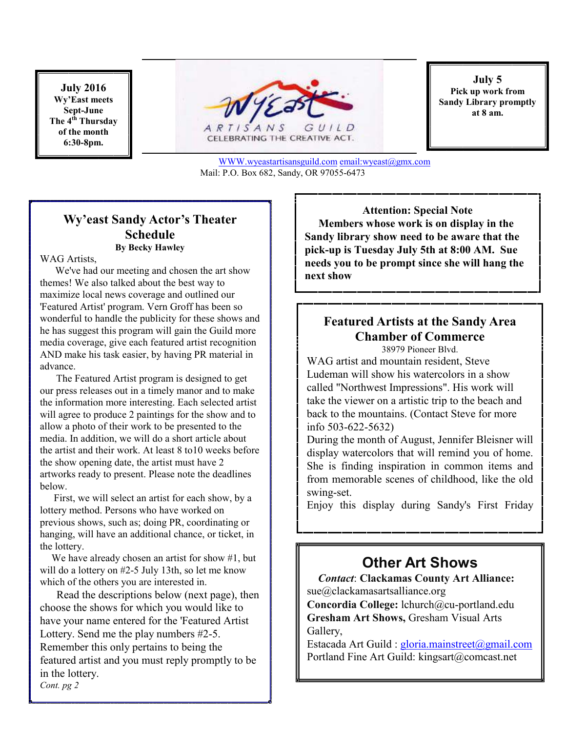**July 2016 Wy'East meets Sept-June The 4th Thursday of the month 6:30-8pm.** 



CELEBRATING THE CREATIVE ACT.

**July 5 Pick up work from Sandy Library promptly at 8 am.**

WWW.wyeastartisansguild.com email:wyeast@gmx.com Mail: P.O. Box 682, Sandy, OR 97055-6473

### **Wy'east Sandy Actor's Theater Schedule By Becky Hawley**

#### WAG Artists,

 We've had our meeting and chosen the art show themes! We also talked about the best way to maximize local news coverage and outlined our 'Featured Artist' program. Vern Groff has been so wonderful to handle the publicity for these shows and he has suggest this program will gain the Guild more media coverage, give each featured artist recognition AND make his task easier, by having PR material in advance.

 The Featured Artist program is designed to get our press releases out in a timely manor and to make the information more interesting. Each selected artist will agree to produce 2 paintings for the show and to allow a photo of their work to be presented to the media. In addition, we will do a short article about the artist and their work. At least 8 to10 weeks before the show opening date, the artist must have 2 artworks ready to present. Please note the deadlines below.

 First, we will select an artist for each show, by a lottery method. Persons who have worked on previous shows, such as; doing PR, coordinating or hanging, will have an additional chance, or ticket, in the lottery.

We have already chosen an artist for show #1, but will do a lottery on #2-5 July 13th, so let me know which of the others you are interested in.

 Read the descriptions below (next page), then choose the shows for which you would like to have your name entered for the 'Featured Artist Lottery. Send me the play numbers #2-5. Remember this only pertains to being the featured artist and you must reply promptly to be in the lottery. *Cont. pg 2* 

**Attention: Special Note Members whose work is on display in the Sandy library show need to be aware that the pick-up is Tuesday July 5th at 8:00 AM. Sue needs you to be prompt since she will hang the next show** 

#### **Featured Artists at the Sandy Area Chamber of Commerce** 38979 Pioneer Blvd.

WAG artist and mountain resident, Steve Ludeman will show his watercolors in a show called "Northwest Impressions". His work will take the viewer on a artistic trip to the beach and back to the mountains. (Contact Steve for more info 503-622-5632)

During the month of August, Jennifer Bleisner will display watercolors that will remind you of home. She is finding inspiration in common items and from memorable scenes of childhood, like the old swing-set.

Enjoy this display during Sandy's First Friday

## **Other Art Shows**

 *Contact*: **Clackamas County Art Alliance:**  sue@clackamasartsalliance.org **Concordia College:** lchurch@cu-portland.edu **Gresham Art Shows,** Gresham Visual Arts Gallery,

Estacada Art Guild : gloria.mainstreet@gmail.com Portland Fine Art Guild: kingsart@comcast.net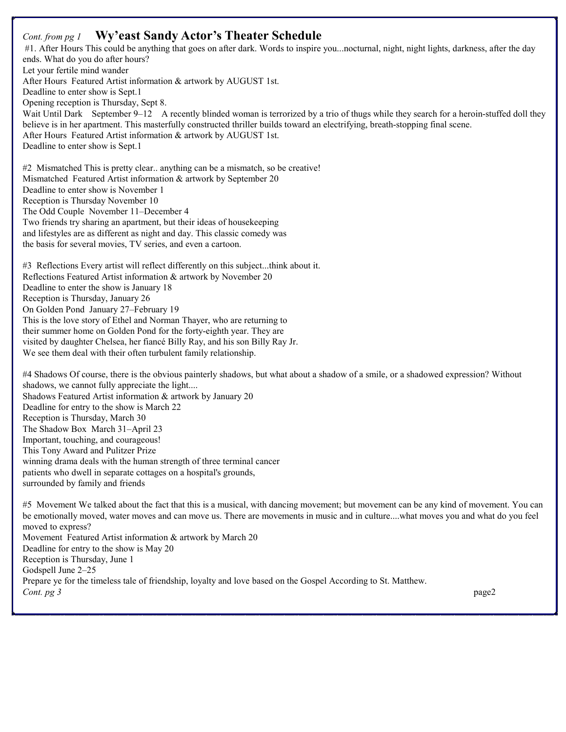### *Cont. from pg 1* **Wy'east Sandy Actor's Theater Schedule**

 #1. After Hours This could be anything that goes on after dark. Words to inspire you...nocturnal, night, night lights, darkness, after the day ends. What do you do after hours? Let your fertile mind wander After Hours Featured Artist information & artwork by AUGUST 1st. Deadline to enter show is Sept.1 Opening reception is Thursday, Sept 8. Wait Until Dark September 9–12 A recently blinded woman is terrorized by a trio of thugs while they search for a heroin-stuffed doll they believe is in her apartment. This masterfully constructed thriller builds toward an electrifying, breath-stopping final scene. After Hours Featured Artist information & artwork by AUGUST 1st. Deadline to enter show is Sept.1 #2 Mismatched This is pretty clear.. anything can be a mismatch, so be creative! Mismatched Featured Artist information & artwork by September 20 Deadline to enter show is November 1 Reception is Thursday November 10 The Odd Couple November 11–December 4 Two friends try sharing an apartment, but their ideas of housekeeping and lifestyles are as different as night and day. This classic comedy was the basis for several movies, TV series, and even a cartoon. #3 Reflections Every artist will reflect differently on this subject...think about it. Reflections Featured Artist information & artwork by November 20 Deadline to enter the show is January 18 Reception is Thursday, January 26 On Golden Pond January 27–February 19 This is the love story of Ethel and Norman Thayer, who are returning to their summer home on Golden Pond for the forty-eighth year. They are visited by daughter Chelsea, her fiancé Billy Ray, and his son Billy Ray Jr. We see them deal with their often turbulent family relationship. #4 Shadows Of course, there is the obvious painterly shadows, but what about a shadow of a smile, or a shadowed expression? Without shadows, we cannot fully appreciate the light.... Shadows Featured Artist information & artwork by January 20 Deadline for entry to the show is March 22 Reception is Thursday, March 30 The Shadow Box March 31–April 23 Important, touching, and courageous! This Tony Award and Pulitzer Prize winning drama deals with the human strength of three terminal cancer patients who dwell in separate cottages on a hospital's grounds, surrounded by family and friends #5 Movement We talked about the fact that this is a musical, with dancing movement; but movement can be any kind of movement. You can be emotionally moved, water moves and can move us. There are movements in music and in culture....what moves you and what do you feel

moved to express? Movement Featured Artist information & artwork by March 20 Deadline for entry to the show is May 20 Reception is Thursday, June 1 Godspell June 2–25 Prepare ye for the timeless tale of friendship, loyalty and love based on the Gospel According to St. Matthew. *Cont. pg 3* page2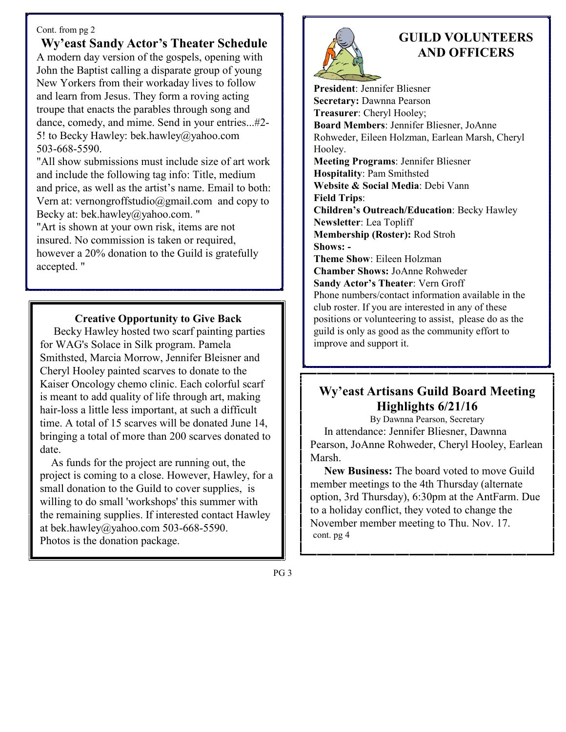#### Cont. from pg 2

**Wy'east Sandy Actor's Theater Schedule** A modern day version of the gospels, opening with John the Baptist calling a disparate group of young New Yorkers from their workaday lives to follow and learn from Jesus. They form a roving acting troupe that enacts the parables through song and dance, comedy, and mime. Send in your entries...#2- 5! to Becky Hawley: bek.hawley@yahoo.com 503-668-5590.

"All show submissions must include size of art work and include the following tag info: Title, medium and price, as well as the artist's name. Email to both: Vern at: vernongroffstudio@gmail.com and copy to Becky at: bek.hawley@yahoo.com. "

"Art is shown at your own risk, items are not insured. No commission is taken or required, however a 20% donation to the Guild is gratefully accepted. "

 **Creative Opportunity to Give Back** 

 Becky Hawley hosted two scarf painting parties for WAG's Solace in Silk program. Pamela Smithsted, Marcia Morrow, Jennifer Bleisner and Cheryl Hooley painted scarves to donate to the Kaiser Oncology chemo clinic. Each colorful scarf is meant to add quality of life through art, making hair-loss a little less important, at such a difficult time. A total of 15 scarves will be donated June 14, bringing a total of more than 200 scarves donated to date.

 As funds for the project are running out, the project is coming to a close. However, Hawley, for a small donation to the Guild to cover supplies, is willing to do small 'workshops' this summer with the remaining supplies. If interested contact Hawley at bek.hawley@yahoo.com 503-668-5590. Photos is the donation package.



## **GUILD VOLUNTEERS AND OFFICERS**

**President**: Jennifer Bliesner **Secretary:** Dawnna Pearson **Treasurer**: Cheryl Hooley; **Board Members**: Jennifer Bliesner, JoAnne Rohweder, Eileen Holzman, Earlean Marsh, Cheryl Hooley. **Meeting Programs**: Jennifer Bliesner **Hospitality**: Pam Smithsted **Website & Social Media**: Debi Vann **Field Trips**: **Children's Outreach/Education**: Becky Hawley **Newsletter**: Lea Topliff **Membership (Roster):** Rod Stroh **Shows: - Theme Show**: Eileen Holzman **Chamber Shows:** JoAnne Rohweder **Sandy Actor's Theater**: Vern Groff Phone numbers/contact information available in the club roster. If you are interested in any of these positions or volunteering to assist, please do as the guild is only as good as the community effort to improve and support it.

## **Wy'east Artisans Guild Board Meeting Highlights 6/21/16**

By Dawnna Pearson, Secretary

 In attendance: Jennifer Bliesner, Dawnna Pearson, JoAnne Rohweder, Cheryl Hooley, Earlean Marsh.

 **New Business:** The board voted to move Guild member meetings to the 4th Thursday (alternate option, 3rd Thursday), 6:30pm at the AntFarm. Due to a holiday conflict, they voted to change the November member meeting to Thu. Nov. 17. cont. pg 4

PG 3